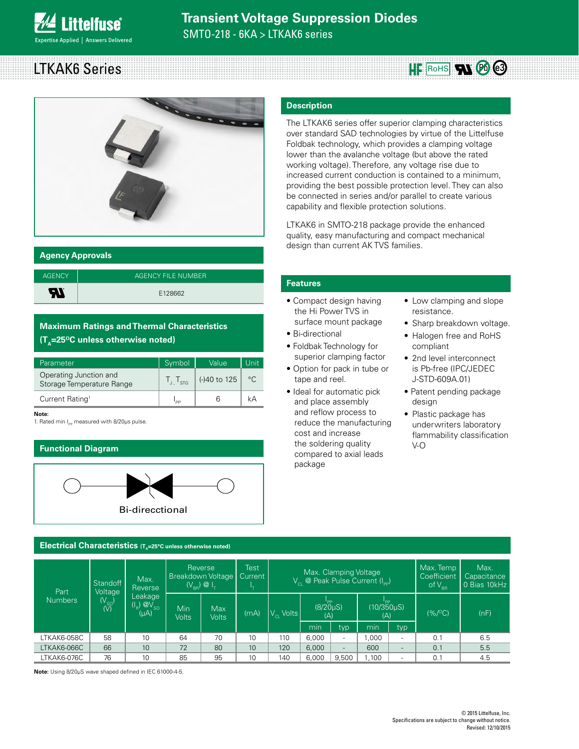### LTKAK6 Series  $HF$  RoHS  $\mathbf{N}$   $\odot$   $\odot$



#### **Agency Approvals**

| <b>AGENCY</b> | AGENCY FILE NUMBER |
|---------------|--------------------|
| ЯI            | E128662            |

#### **Maximum Ratings and Thermal Characteristics (T<sub>A</sub>=25<sup>o</sup>C unless otherwise noted)**

| Parameter                                           | Symbol                      | Value        | Unit    |
|-----------------------------------------------------|-----------------------------|--------------|---------|
| Operating Junction and<br>Storage Temperature Range | $\frac{1}{1}$ $\frac{1}{5}$ | (-)40 to 125 | $\circ$ |
| Current Rating <sup>1</sup>                         | l pp                        |              |         |

**Note:**

1. Rated min I<sub>pp</sub> measured with 8/20μs pulse.

#### **Functional Diagram**



#### Electrical Characteristics (T<sub>A</sub>=25°C unless otherwise noted)

#### Part Numbers **Standoff Voltage** (V<sub>SO</sub>)<br>(V) Max. Reverse Leakage  $(I_{\rm B})$   $\overline{Q}V_{\rm SO}$  $(\mu A)$ Reverse Breakdown Voltage  $(V_{BB})$   $\omega$   $I_{\tau}$ Test **Current** l<sub>t</sub> Max. Clamping Voltage  $V_{\text{cl}}$  @ Peak Pulse Current (I<sub>pp</sub>) Max. Temp **Coefficient** of  $V_{\text{BR}}$ Max. **Capacitance** 0 Bias 10kHz Min Volts Max<br>Volts  $\overline{(mA)}$   $V_{C1}$  Volts l<sub>pp</sub><br>(8/20μS) (A) ا<br>(10/350µS)  $(A)$  (%/°C) (nF) min typ min typ LTKAK6-058C | 58 | 10 | 64 | 70 | 10 | 110 |6,000 | - |1,000 | - | 0.1 | 6.5 LTKAK6-066C | 66 | 10 | 72 | 80 | 10 | 120 |6,000 | - | 600 | - | 0.1 | 5.5 LTKAK6-076C | 76 | 10 | 85 | 95 | 10 | 140 |6,000 |9,500 | 1,100 | - | 0.1 | 4.5

**Note:** Using 8/20µS wave shaped defined in IEC 61000-4-5.

#### **Description**

The LTKAK6 series offer superior clamping characteristics over standard SAD technologies by virtue of the Littelfuse Foldbak technology, which provides a clamping voltage lower than the avalanche voltage (but above the rated working voltage). Therefore, any voltage rise due to increased current conduction is contained to a minimum, providing the best possible protection level. They can also be connected in series and/or parallel to create various capability and flexible protection solutions.

LTKAK6 in SMTO-218 package provide the enhanced quality, easy manufacturing and compact mechanical design than current AK TVS families.

#### **Features**

- Compact design having the Hi Power TVS in surface mount package
- Bi-directional
- Foldbak Technology for superior clamping factor
- Option for pack in tube or tape and reel.
- Ideal for automatic pick and place assembly and reflow process to reduce the manufacturing cost and increase the soldering quality compared to axial leads package
- Low clamping and slope resistance.
- Sharp breakdown voltage.
- Halogen free and RoHS compliant
- 2nd level interconnect is Pb-free (IPC/JEDEC J-STD-609A.01)
- Patent pending package desian
- Plastic package has underwriters laboratory flammability classification V-O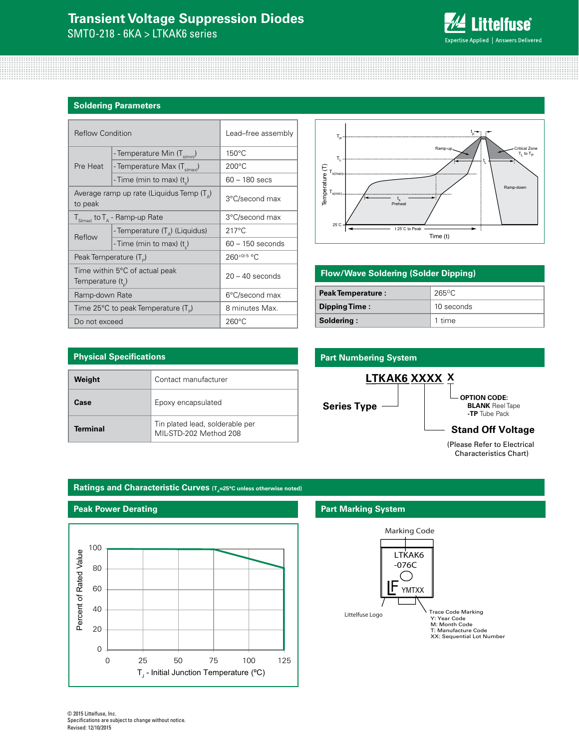## **Transient Voltage Suppression Diodes**

SMTO-218 - 6KA > LTKAK6 series

## **Littelfuse**® Expertise Applied | Answers Delivered

#### **Soldering Parameters**

| <b>Reflow Condition</b>                                 |                                                    | Lead-free assembly |  |
|---------------------------------------------------------|----------------------------------------------------|--------------------|--|
|                                                         | - Temperature Min (T <sub>s(min</sub> )            | $150^{\circ}$ C    |  |
| Pre Heat                                                | - Temperature Max (T <sub>s(max)</sub> )           | $200^{\circ}$ C    |  |
|                                                         | - Time (min to max) (t)                            | 60 - 180 secs      |  |
| to peak                                                 | Average ramp up rate (Liquidus Temp $(T_{\Delta})$ | 3°C/second max     |  |
| $T_{S(max)}$ to $T_A$ - Ramp-up Rate                    |                                                    | 3°C/second max     |  |
| Reflow                                                  | - Temperature $(T_{\Delta})$ (Liquidus)            | $217^{\circ}$ C    |  |
|                                                         | - Time (min to max) $(ts)$                         | $60 - 150$ seconds |  |
| Peak Temperature (T <sub>D</sub> )                      |                                                    | 260+0/-5 °C        |  |
| Time within 5°C of actual peak<br>Temperature $(t_{n})$ |                                                    | $20 - 40$ seconds  |  |
| Ramp-down Rate                                          |                                                    | 6°C/second max     |  |
| Time 25°C to peak Temperature (T <sub>p</sub> )         |                                                    | 8 minutes Max.     |  |
| Do not exceed                                           |                                                    | $260^{\circ}$ C    |  |



#### **Flow/Wave Soldering (Solder Dipping)**

| <b>Peak Temperature:</b> | $265$ °C   |  |
|--------------------------|------------|--|
| Dipping Time:            | 10 seconds |  |
| Soldering:               | 1 time     |  |

## **Physical Specifications Weight Contact manufacturer Case** Epoxy encapsulated **Terminal** Tin plated lead, solderable per MIL-STD-202 Method 208

# **Part Numbering System**



Characteristics Chart)

#### Ratings and Characteristic Curves (T<sub>A</sub>=25°C unless otherwise noted)



#### **Part Marking System**



© 2015 Littelfuse, Inc. Specifications are subject to change without notice. Revised: 12/10/2015